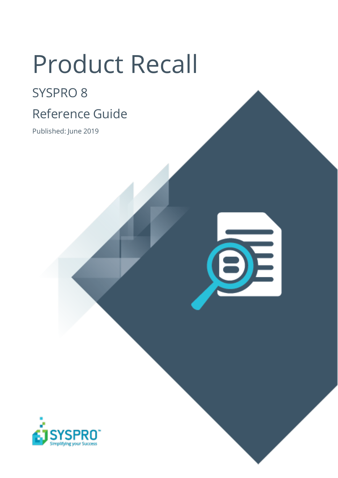# Product Recall

## SYSPRO 8

## Reference Guide

Published: June 2019

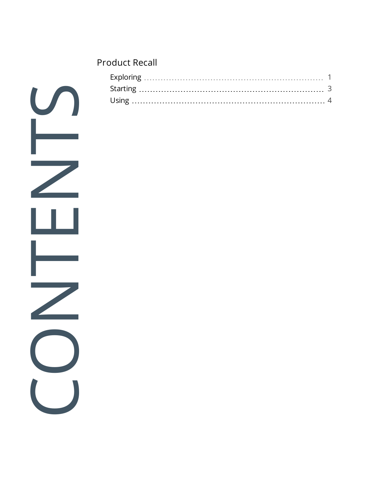#### [Product](#page-2-0) Recall

**SANTENTS**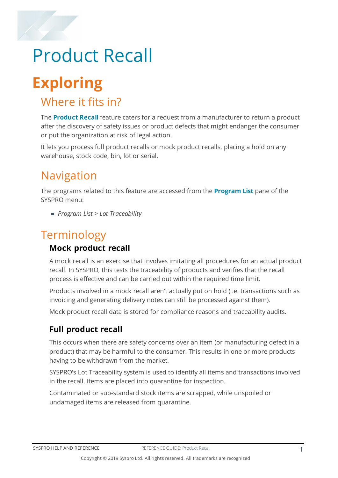## <span id="page-2-1"></span><span id="page-2-0"></span>Product Recall

## **Exploring**

## Where it fits in?

The **Product Recall** feature caters for a request from a manufacturer to return a product after the discovery of safety issues or product defects that might endanger the consumer or put the organization at risk of legal action.

It lets you process full product recalls or mock product recalls, placing a hold on any warehouse, stock code, bin, lot or serial.

## Navigation

The programs related to this feature are accessed from the **Program List** pane of the SYSPRO menu:

*Program List > Lot Traceability*

## Terminology

### **Mock product recall**

A mock recall is an exercise that involves imitating all procedures for an actual product recall. In SYSPRO, this tests the traceability of products and verifies that the recall process is effective and can be carried out within the required time limit.

Products involved in a mock recall aren't actually put on hold (i.e. transactions such as invoicing and generating delivery notes can still be processed against them).

Mock product recall data is stored for compliance reasons and traceability audits.

### **Full product recall**

This occurs when there are safety concerns over an item (or manufacturing defect in a product) that may be harmful to the consumer. This results in one or more products having to be withdrawn from the market.

SYSPRO's Lot Traceability system is used to identify all items and transactions involved in the recall. Items are placed into quarantine for inspection.

Contaminated or sub-standard stock items are scrapped, while unspoiled or undamaged items are released from quarantine.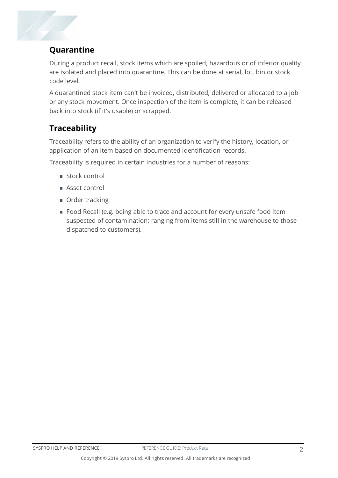

### **Quarantine**

During a product recall, stock items which are spoiled, hazardous or of inferior quality are isolated and placed into quarantine. This can be done at serial, lot, bin or stock code level.

A quarantined stock item can't be invoiced, distributed, delivered or allocated to a job or any stock movement. Once inspection of the item is complete, it can be released back into stock (if it's usable) or scrapped.

### **Traceability**

Traceability refers to the ability of an organization to verify the history, location, or application of an item based on documented identification records.

Traceability is required in certain industries for a number of reasons:

- Stock control
- Asset control
- Order tracking
- Food Recall (e.g. being able to trace and account for every unsafe food item suspected of contamination; ranging from items still in the warehouse to those dispatched to customers).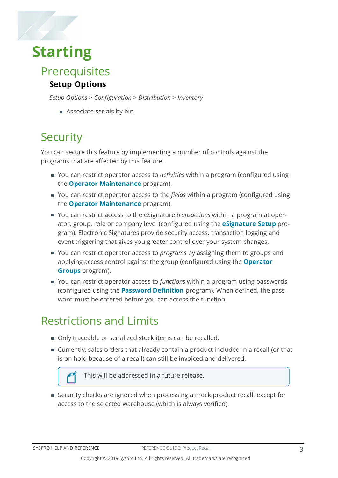## <span id="page-4-0"></span>**Starting**

Prerequisites

### **Setup Options**

*Setup Options > Configuration > Distribution > Inventory*

**Associate serials by bin** 

## **Security**

You can secure this feature by implementing a number of controls against the programs that are affected by this feature.

- You can restrict operator access to *activities* within a program (configured using the **Operator Maintenance** program).
- You can restrict operator access to the *fields* within a program (configured using the **Operator Maintenance** program).
- You can restrict access to the eSignature *transactions* within a program at operator, group, role or company level (configured using the **eSignature Setup** program). Electronic Signatures provide security access, transaction logging and event triggering that gives you greater control over your system changes.
- You can restrict operator access to *programs* by assigning them to groups and applying access control against the group (configured using the **Operator Groups** program).
- You can restrict operator access to *functions* within a program using passwords (configured using the **Password Definition** program). When defined, the password must be entered before you can access the function.

## Restrictions and Limits

- **Draceable or serialized stock items can be recalled.**
- Currently, sales orders that already contain a product included in a recall (or that is on hold because of a recall) can still be invoiced and delivered.



Security checks are ignored when processing a mock product recall, except for access to the selected warehouse (which is always verified).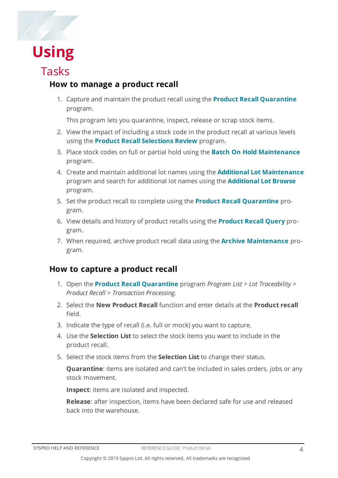

## <span id="page-5-0"></span>**Using**

## Tasks

### **How to manage a product recall**

1. Capture and maintain the product recall using the **Product Recall Quarantine** program.

This program lets you quarantine, inspect, release or scrap stock items.

- 2. View the impact of including a stock code in the product recall at various levels using the **Product Recall Selections Review** program.
- 3. Place stock codes on full or partial hold using the **Batch On Hold Maintenance** program.
- 4. Create and maintain additional lot names using the **Additional Lot Maintenance** program and search for additional lot names using the **Additional Lot Browse** program.
- 5. Set the product recall to complete using the **Product Recall Quarantine** program.
- 6. View details and history of product recalls using the **Product Recall Query** program.
- 7. When required, archive product recall data using the **Archive Maintenance** program.

### **How to capture a product recall**

- 1. Open the **Product Recall Quarantine** program *Program List > Lot Traceability > Product Recall > Transaction Processing*.
- 2. Select the **New Product Recall** function and enter details at the **Product recall** field.
- 3. Indicate the type of recall (i.e. full or mock) you want to capture.
- 4. Use the **Selection List** to select the stock items you want to include in the product recall.
- 5. Select the stock items from the **Selection List** to change their status.

**Quarantine**: items are isolated and can't be included in sales orders, jobs or any stock movement.

**Inspect**: items are isolated and inspected.

**Release**: after inspection, items have been declared safe for use and released back into the warehouse.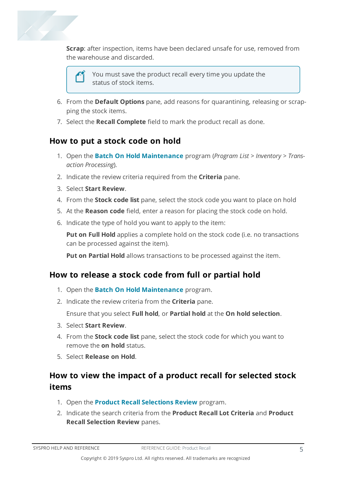

**Scrap**: after inspection, items have been declared unsafe for use, removed from the warehouse and discarded.



You must save the product recall every time you update the status of stock items.

- 6. From the **Default Options** pane, add reasons for quarantining, releasing or scrapping the stock items.
- 7. Select the **Recall Complete** field to mark the product recall as done.

#### **How to put a stock code on hold**

- 1. Open the **Batch On Hold Maintenance** program (*Program List > Inventory > Transaction Processing*).
- 2. Indicate the review criteria required from the **Criteria** pane.
- 3. Select **Start Review**.
- 4. From the **Stock code list** pane, select the stock code you want to place on hold
- 5. At the **Reason code** field, enter a reason for placing the stock code on hold.
- 6. Indicate the type of hold you want to apply to the item:

**Put on Full Hold** applies a complete hold on the stock code (i.e. no transactions can be processed against the item).

**Put on Partial Hold** allows transactions to be processed against the item.

#### **How to release a stock code from full or partial hold**

- 1. Open the **Batch On Hold Maintenance** program.
- 2. Indicate the review criteria from the **Criteria** pane.

Ensure that you select **Full hold**, or **Partial hold** at the **On hold selection**.

- 3. Select **Start Review**.
- 4. From the **Stock code list** pane, select the stock code for which you want to remove the **on hold** status.
- 5. Select **Release on Hold**.

### **How to view the impact of a product recall for selected stock items**

- 1. Open the **Product Recall Selections Review** program.
- 2. Indicate the search criteria from the **Product Recall Lot Criteria** and **Product Recall Selection Review** panes.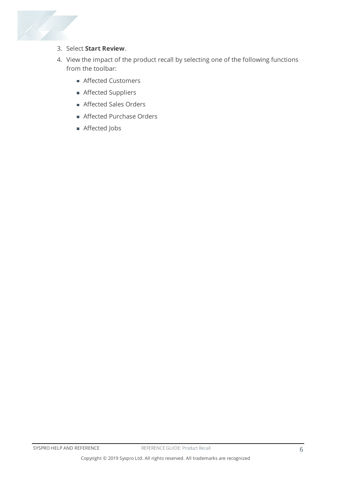

- 3. Select **Start Review**.
- 4. View the impact of the product recall by selecting one of the following functions from the toolbar:
	- **Affected Customers**
	- Affected Suppliers
	- Affected Sales Orders
	- **Affected Purchase Orders**
	- Affected Jobs